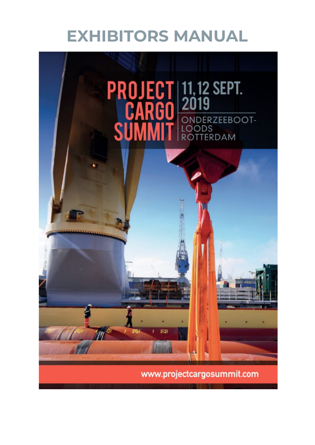# **EXHIBITORS MANUAL**

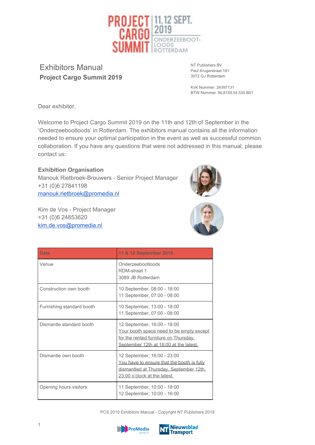

# Exhibitors Manual **Project Cargo Summit 2019**

NT Publishers BV Paul Krugerstraat 181 3072 GJ Rotterdam

KvK Nummer: 24397131 BTW Nummer: NL8159.54.530.B01

Dear exhibitor,

Welcome to Project Cargo Summit 2019 on the 11th and 12th of September in the 'Onderzeebootloods' in Rotterdam. The exhibitors manual contains all the information needed to ensure your optimal participation in the event as well as successful common collaboration. If you have any questions that were not addressed in this manual, please contact us:

#### **Exhibition Organisation**

Manouk Rietbroek-Brouwers - Senior Project Manager +31 (0)6 27841198 [manouk.rietbroek@promedia.nl](mailto:manouk.rietbroek@promedia.nl)

Kim de Vos - Project Manager +31 (0)6 24853620 [kim.de.vos@promedia.nl](mailto:kim.de.vos@promedia.nl)





| <b>Date</b>               | 11 & 12 September 2019                                                                                                                                     |  |
|---------------------------|------------------------------------------------------------------------------------------------------------------------------------------------------------|--|
| Venue                     | Onderzeebootloods<br>RDM-straat 1<br>3089 JB Rotterdam                                                                                                     |  |
| Construction own booth    | 10 September, 08:00 - 18:00<br>11 September, 07:00 - 08:00                                                                                                 |  |
| Furnishing standard booth | 10 September, 13:00 - 18:00<br>11 September, 07:00 - 08:00                                                                                                 |  |
| Dismantle standard booth  | 12 September, 16:00 - 18:00<br>Your booth space need to be empty except<br>for the rented furniture on Thursday.<br>September 12th at 18:00 at the latest. |  |
| Dismantle own booth       | 12 September, 16:00 - 23:00<br>You have to ensure that the booth is fully<br>dismantled at Thursday, September 12th,<br>23:00 o'clock at the latest.       |  |
| Opening hours visitors    | 11 September, 10:00 - 18:00<br>12 September, 10:00 - 16:00                                                                                                 |  |

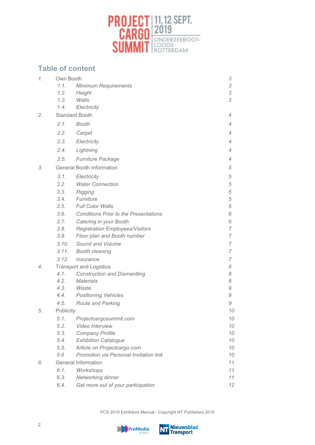

# **Table of content**

| 1. | Own Booth                        |                                              | 3  |
|----|----------------------------------|----------------------------------------------|----|
|    | 1.1.                             | <b>Minimum Requirements</b>                  | 3  |
|    | 1.2.                             | Height                                       | 3  |
|    | 1.3.                             | Walls                                        | 3  |
|    | 1.4.                             | Electricity                                  |    |
| 2. | <b>Standard Booth</b>            |                                              | 4  |
|    | 2.1.                             | Booth                                        | 4  |
|    | 2.2.                             | Carpet                                       | 4  |
|    | 2.3.                             | Electricity                                  | 4  |
|    | 2.4.                             | Lightning                                    | 4  |
|    | 2.5.                             | Furniture Package                            | 4  |
| 3. | <b>General Booth Information</b> |                                              | 5  |
|    | 3.1.                             | Electricity                                  | 5  |
|    | 3.2.                             | <b>Water Connection</b>                      | 5  |
|    | 3.3.                             | Rigging                                      | 5  |
|    | 3.4.                             | Furniture                                    | 5  |
|    | 3.5.                             | <b>Full Color Walls</b>                      | 5  |
|    | 3.6.                             | <b>Conditions Prior to the Presentations</b> | 6  |
|    | 3.7.                             | Catering in your Booth                       | 6  |
|    | 3.8.                             | <b>Registration Employees/Visitors</b>       | 7  |
|    | 3.9.                             | Floor plan and Booth number                  | 7  |
|    | 3.10.                            | Sound and Volume                             | 7  |
|    | 3.11.                            | <b>Booth cleaning</b>                        | 7  |
|    | 3.12.                            | <i>Insurance</i>                             | 7  |
| 4. | <b>Transport and Logistics</b>   |                                              | 8  |
|    | 4.1.                             | <b>Construction and Dismantling</b>          | 8  |
|    | 4.2.                             | <b>Materials</b>                             | 8  |
|    | 4.3.                             | Waste                                        | 9  |
|    | 4.4.                             | <b>Positioning Vehicles</b>                  | 9  |
|    | 4.5.                             | <b>Route and Parking</b>                     | 9  |
| 5. | Publicity                        |                                              | 10 |
|    | 5.1.                             | Projectcargosummit.com                       | 10 |
|    | 5.2.                             | Video Interview                              | 10 |
|    | 5.3.                             | <b>Company Profile</b>                       | 10 |
|    | 5.4.                             | <b>Exhibition Catalogue</b>                  | 10 |
|    | 5.5.                             | Article on Projectcargo.com                  | 10 |
|    | 5.6                              | Promotion via Personal Invitation link       | 10 |
| 6. |                                  | <b>General Information</b>                   | 11 |
|    | 6.1.                             | Workshops                                    | 11 |
|    | 6.3.                             | Networking dinner                            | 11 |
|    | 6.4.                             | Get more out of your participation           | 12 |

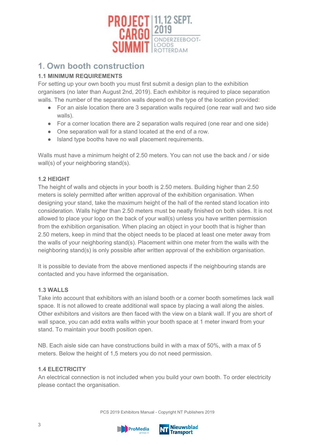

# **1. Own booth construction**

# **1.1 MINIMUM REQUIREMENTS**

For setting up your own booth you must first submit a design plan to the exhibition organisers (no later than August 2nd, 2019). Each exhibitor is required to place separation walls. The number of the separation walls depend on the type of the location provided:

- For an aisle location there are 3 separation walls required (one rear wall and two side walls).
- For a corner location there are 2 separation walls required (one rear and one side)
- One separation wall for a stand located at the end of a row.
- Island type booths have no wall placement requirements.

Walls must have a minimum height of 2.50 meters. You can not use the back and / or side wall(s) of your neighboring stand(s).

# **1.2 HEIGHT**

The height of walls and objects in your booth is 2.50 meters. Building higher than 2.50 meters is solely permitted after written approval of the exhibition organisation. When designing your stand, take the maximum height of the hall of the rented stand location into consideration. Walls higher than 2.50 meters must be neatly finished on both sides. It is not allowed to place your logo on the back of your wall(s) unless you have written permission from the exhibition organisation. When placing an object in your booth that is higher than 2.50 meters, keep in mind that the object needs to be placed at least one meter away from the walls of your neighboring stand(s). Placement within one meter from the walls with the neighboring stand(s) is only possible after written approval of the exhibition organisation.

It is possible to deviate from the above mentioned aspects if the neighbouring stands are contacted and you have informed the organisation.

#### **1.3 WALLS**

Take into account that exhibitors with an island booth or a corner booth sometimes lack wall space. It is not allowed to create additional wall space by placing a wall along the aisles. Other exhibitors and visitors are then faced with the view on a blank wall. If you are short of wall space, you can add extra walls within your booth space at 1 meter inward from your stand. To maintain your booth position open.

NB. Each aisle side can have constructions build in with a max of 50%, with a max of 5 meters. Below the height of 1,5 meters you do not need permission.

#### **1.4 ELECTRICITY**

An electrical connection is not included when you build your own booth. To order electricity please contact the organisation.



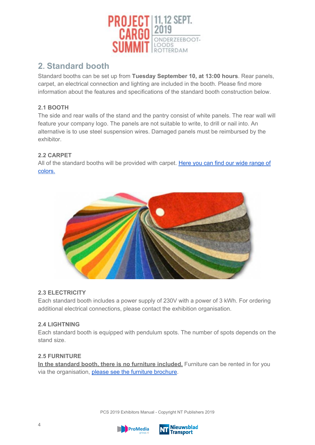

# **2. Standard booth**

Standard booths can be set up from **Tuesday September 10, at 13:00 hours**. Rear panels, carpet, an electrical connection and lighting are included in the booth. Please find more information about the features and specifications of the standard booth construction below.

# **2.1 BOOTH**

The side and rear walls of the stand and the pantry consist of white panels. The rear wall will feature your company logo. The panels are not suitable to write, to drill or nail into. An alternative is to use steel suspension wires. Damaged panels must be reimbursed by the exhibitor.

# **2.2 CARPET**

All of the standard booths will be provided with carpet. Here you can find our wide [range](https://www.projectcargosummit.com/wp-content/uploads/2019/05/Carpet-Swatches.png) of [colors.](https://www.projectcargosummit.com/wp-content/uploads/2019/05/Carpet-Swatches.png)



#### **2.3 ELECTRICITY**

Each standard booth includes a power supply of 230V with a power of 3 kWh. For ordering additional electrical connections, please contact the exhibition organisation.

#### **2.4 LIGHTNING**

Each standard booth is equipped with pendulum spots. The number of spots depends on the stand size.

#### **2.5 FURNITURE**

**In the standard booth, there is no furniture included.** Furniture can be rented in for you via the organisation, please see the furniture [brochure](https://www.projectcargosummit.com/wp-content/uploads/2019/05/Furniture-Brochure-JMT.pdf).



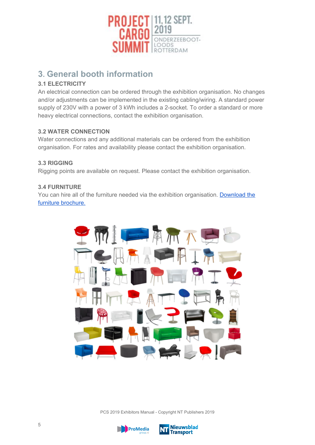

# **3. General booth information**

# **3.1 ELECTRICITY**

An electrical connection can be ordered through the exhibition organisation. No changes and/or adjustments can be implemented in the existing cabling/wiring. A standard power supply of 230V with a power of 3 kWh includes a 2-socket. To order a standard or more heavy electrical connections, contact the exhibition organisation.

# **3.2 WATER CONNECTION**

Water connections and any additional materials can be ordered from the exhibition organisation. For rates and availability please contact the exhibition organisation.

# **3.3 RIGGING**

Rigging points are available on request. Please contact the exhibition organisation.

# **3.4 FURNITURE**

You can hire all of the furniture needed via the exhibition organisation. [Download](https://www.projectcargosummit.com/wp-content/uploads/2019/05/Furniture-Brochure-JMT.pdf) the furniture [brochure.](https://www.projectcargosummit.com/wp-content/uploads/2019/05/Furniture-Brochure-JMT.pdf)



PCS 2019 Exhibitors Manual - Copyright NT Publishers 2019





5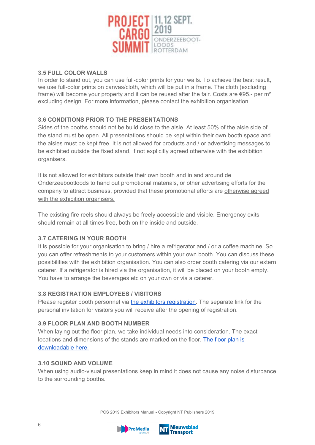

#### **3.5 FULL COLOR WALLS**

In order to stand out, you can use full-color prints for your walls. To achieve the best result, we use full-color prints on canvas/cloth, which will be put in a frame. The cloth (excluding frame) will become your property and it can be reused after the fair. Costs are  $\epsilon$ 95.- per m<sup>2</sup> excluding design. For more information, please contact the exhibition organisation.

# **3.6 CONDITIONS PRIOR TO THE PRESENTATIONS**

Sides of the booths should not be build close to the aisle. At least 50% of the aisle side of the stand must be open. All presentations should be kept within their own booth space and the aisles must be kept free. It is not allowed for products and / or advertising messages to be exhibited outside the fixed stand, if not explicitly agreed otherwise with the exhibition organisers.

It is not allowed for exhibitors outside their own booth and in and around de Onderzeebootloods to hand out promotional materials, or other advertising efforts for the company to attract business, provided that these promotional efforts are otherwise agreed with the exhibition organisers.

The existing fire reels should always be freely accessible and visible. Emergency exits should remain at all times free, both on the inside and outside.

#### **3.7 CATERING IN YOUR BOOTH**

It is possible for your organisation to bring / hire a refrigerator and / or a coffee machine. So you can offer refreshments to your customers within your own booth. You can discuss these possibilities with the exhibition organisation. You can also order booth catering via our extern caterer. If a refrigerator is hired via the organisation, it will be placed on your booth empty. You have to arrange the beverages etc on your own or via a caterer.

#### **3.8 REGISTRATION EMPLOYEES / VISITORS**

Please register booth personnel via the exhibitors [registration.](https://www.projectcargosummit.com/registration/exhibitors-registration/) The separate link for the personal invitation for visitors you will receive after the opening of registration.

#### **3.9 FLOOR PLAN AND BOOTH NUMBER**

When laying out the floor plan, we take individual needs into consideration. The exact locations and dimensions of the stands are marked on the [floor](https://www.projectcargosummit.com/floorplan-project-cargo-summit-2019/). The floor plan is [downloadable](https://www.projectcargosummit.com/floorplan-project-cargo-summit-2019/) here.

#### **3.10 SOUND AND VOLUME**

When using audio-visual presentations keep in mind it does not cause any noise disturbance to the surrounding booths.



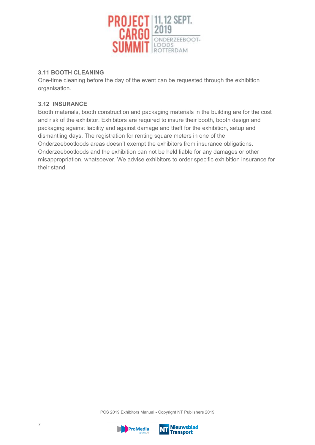

# **3.11 BOOTH CLEANING**

One-time cleaning before the day of the event can be requested through the exhibition organisation.

### **3.12 INSURANCE**

Booth materials, booth construction and packaging materials in the building are for the cost and risk of the exhibitor. Exhibitors are required to insure their booth, booth design and packaging against liability and against damage and theft for the exhibition, setup and dismantling days. The registration for renting square meters in one of the Onderzeebootloods areas doesn't exempt the exhibitors from insurance obligations. Onderzeebootloods and the exhibition can not be held liable for any damages or other misappropriation, whatsoever. We advise exhibitors to order specific exhibition insurance for their stand.



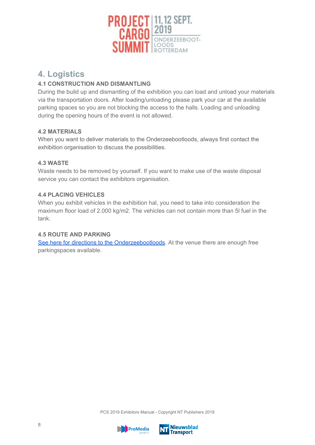

# **4. Logistics**

# **4.1 CONSTRUCTION AND DISMANTLING**

During the build up and dismantling of the exhibition you can load and unload your materials via the transportation doors. After loading/unloading please park your car at the available parking spaces so you are not blocking the access to the halls. Loading and unloading during the opening hours of the event is not allowed.

# **4.2 MATERIALS**

When you want to deliver materials to the Onderzeebootloods, always first contact the exhibition organisation to discuss the possibilities.

# **4.3 WASTE**

Waste needs to be removed by yourself. If you want to make use of the waste disposal service you can contact the exhibitors organisation.

# **4.4 PLACING VEHICLES**

When you exhibit vehicles in the exhibition hal, you need to take into consideration the maximum floor load of 2.000 kg/m2. The vehicles can not contain more than 5l fuel in the tank.

#### **4.5 ROUTE AND PARKING**

See here for directions to the [Onderzeebootloods](https://www.rdmrotterdam.nl/en/directions-by-car/). At the venue there are enough free parkingspaces available.



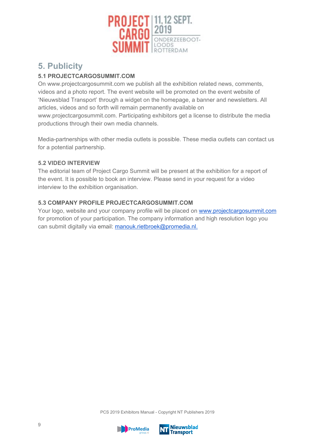

# **5. Publicity**

# **5.1 PROJECTCARGOSUMMIT.COM**

On www.projectcargosummit.com we publish all the exhibition related news, comments, videos and a photo report. The event website will be promoted on the event website of 'Nieuwsblad Transport' through a widget on the homepage, a banner and newsletters. All articles, videos and so forth will remain permanently available on www.projectcargosummit.com. Participating exhibitors get a license to distribute the media productions through their own media channels.

Media-partnerships with other media outlets is possible. These media outlets can contact us for a potential partnership.

#### **5.2 VIDEO INTERVIEW**

The editorial team of Project Cargo Summit will be present at the exhibition for a report of the event. It is possible to book an interview. Please send in your request for a video interview to the exhibition organisation.

# **5.3 COMPANY PROFILE PROJECTCARGOSUMMIT.COM**

Your logo, website and your company profile will be placed on [www.projectcargosummit.com](http://www.projectcargosummit.com/) for promotion of your participation. The company information and high resolution logo you can submit digitally via email: [manouk.rietbroek@promedia.nl.](mailto:manouk.rietbroek@promedia.nl)



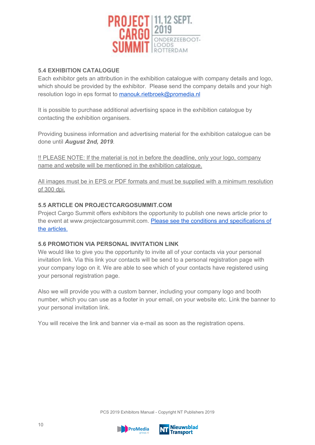

#### **5.4 EXHIBITION CATALOGUE**

Each exhibitor gets an attribution in the exhibition catalogue with company details and logo, which should be provided by the exhibitor. Please send the company details and your high resolution logo in eps format to [manouk.rietbroek@promedia.nl](mailto:manouk.rietbroek@promedia.nl)

It is possible to purchase additional advertising space in the exhibition catalogue by contacting the exhibition organisers.

Providing business information and advertising material for the exhibition catalogue can be done until *August 2nd, 2019.*

!! PLEASE NOTE: If the material is not in before the deadline, only your logo, company name and website will be mentioned in the exhibition catalogue.

All images must be in EPS or PDF formats and must be supplied with a minimum resolution of 300 dpi.

#### **5.5 ARTICLE ON PROJECTCARGOSUMMIT.COM**

Project Cargo Summit offers exhibitors the opportunity to publish one news article prior to the event at www.projectcargosummit.com. Please see the conditions and [specifications](https://www.projectcargosummit.com/wp-content/uploads/2019/06/Guideline-Editorial-News.pdf) of the [articles.](https://www.projectcargosummit.com/wp-content/uploads/2019/06/Guideline-Editorial-News.pdf)

#### **5.6 PROMOTION VIA PERSONAL INVITATION LINK**

We would like to give you the opportunity to invite all of your contacts via your personal invitation link. Via this link your contacts will be send to a personal registration page with your company logo on it. We are able to see which of your contacts have registered using your personal registration page.

Also we will provide you with a custom banner, including your company logo and booth number, which you can use as a footer in your email, on your website etc. Link the banner to your personal invitation link.

You will receive the link and banner via e-mail as soon as the registration opens.



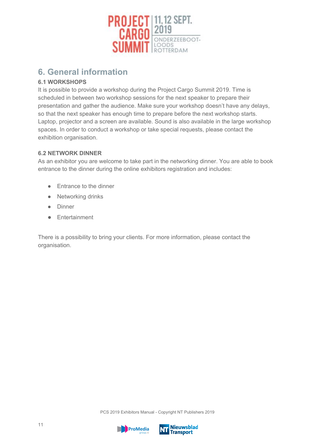

# **6. General information**

# **6.1 WORKSHOPS**

It is possible to provide a workshop during the Project Cargo Summit 2019. Time is scheduled in between two workshop sessions for the next speaker to prepare their presentation and gather the audience. Make sure your workshop doesn't have any delays, so that the next speaker has enough time to prepare before the next workshop starts. Laptop, projector and a screen are available. Sound is also available in the large workshop spaces. In order to conduct a workshop or take special requests, please contact the exhibition organisation.

# **6.2 NETWORK DINNER**

As an exhibitor you are welcome to take part in the networking dinner. You are able to book entrance to the dinner during the online exhibitors registration and includes:

- Entrance to the dinner
- Networking drinks
- Dinner
- Entertainment

There is a possibility to bring your clients. For more information, please contact the organisation.



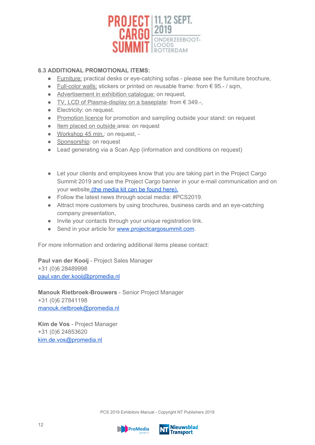

# **6.3 ADDITIONAL PROMOTIONAL ITEMS:**

- **Furniture:** practical desks or eye-catching sofas please see the furniture brochure,
- $\bullet$  Full-color walls: stickers or printed on reusable frame: from € 95.-/sqm,
- Advertisement in exhibition catalogue: on request,
- TV, LCD of Plasma-display on a baseplate: from € 349.-,
- Electricity: on request.
- Promotion licence for promotion and sampling outside your stand: on request
- Item placed on outside area: on request
- Workshop 45 min.: on request. -
- Sponsorship: on request
- Lead generating via a Scan App (information and conditions on request)
- Let your clients and employees know that you are taking part in the Project Cargo Summit 2019 and use the Project Cargo banner in your e-mail communication and on your website (the [media](https://www.projectcargosummit.com/exhibitors-portal/promokit/) kit can be found here).
- Follow the latest news through social media: #PCS2019.
- Attract more customers by using brochures, business cards and an eye-catching company presentation,
- Invite your contacts through your unique registration link.
- Send in your article for [www.projectcargosummit.com.](http://www.projectcargosummit.com/)

For more information and ordering additional items please contact:

**Paul van der Kooij** - Project Sales Manager +31 (0)6 28489998 [paul.van.der.kooij@promedia.nl](mailto:paul.van.der.kooij@promedia.nl)

**Manouk Rietbroek-Brouwers** - Senior Project Manager +31 (0)6 27841198 [manouk.rietbroek@promedia.nl](mailto:manouk.rietbroek@promedia.nl)

**Kim de Vos** - Project Manager +31 (0)6 24853620 [kim.de.vos@promedia.nl](mailto:kim.de.vos@promedia.nl)